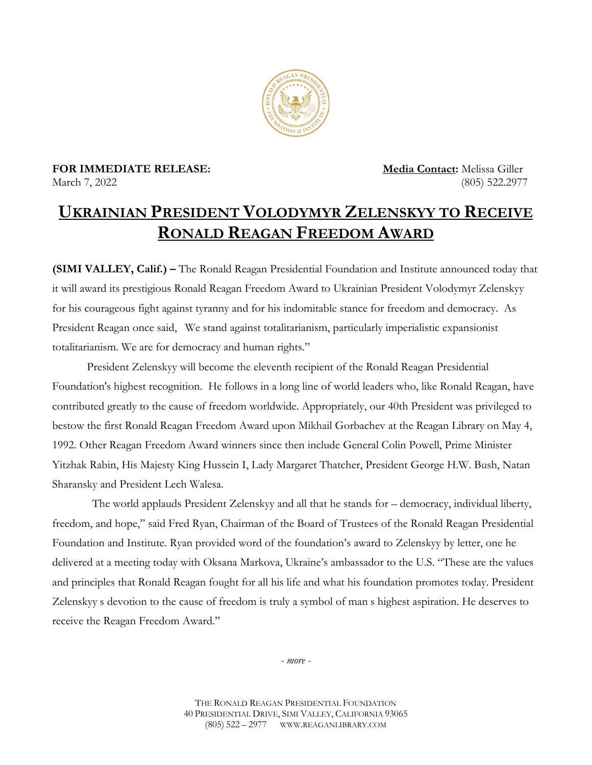

**FOR IMMEDIATE RELEASE: Media Contact:** Melissa Giller March 7, 2022 (805) 522.2977

## **UKRAINIAN PRESIDENT VOLODYMYR ZELENSKYY TO RECEIVE RONALD REAGAN FREEDOM AWARD**

**(SIMI VALLEY, Calif.) –** The Ronald Reagan Presidential Foundation and Institute announced today that it will award its prestigious Ronald Reagan Freedom Award to Ukrainian President Volodymyr Zelenskyy for his courageous fight against tyranny and for his indomitable stance for freedom and democracy. As President Reagan once said, We stand against totalitarianism, particularly imperialistic expansionist totalitarianism. We are for democracy and human rights."

President Zelenskyy will become the eleventh recipient of the Ronald Reagan Presidential Foundation's highest recognition. He follows in a long line of world leaders who, like Ronald Reagan, have contributed greatly to the cause of freedom worldwide. Appropriately, our 40th President was privileged to bestow the first Ronald Reagan Freedom Award upon Mikhail Gorbachev at the Reagan Library on May 4, 1992. Other Reagan Freedom Award winners since then include General Colin Powell, Prime Minister Yitzhak Rabin, His Majesty King Hussein I, Lady Margaret Thatcher, President George H.W. Bush, Natan Sharansky and President Lech Walesa.

The world applauds President Zelenskyy and all that he stands for – democracy, individual liberty, freedom, and hope," said Fred Ryan, Chairman of the Board of Trustees of the Ronald Reagan Presidential Foundation and Institute. Ryan provided word of the foundation's award to Zelenskyy by letter, one he delivered at a meeting today with Oksana Markova, Ukraine's ambassador to the U.S. "These are the values and principles that Ronald Reagan fought for all his life and what his foundation promotes today. President Zelenskyy s devotion to the cause of freedom is truly a symbol of man s highest aspiration. He deserves to receive the Reagan Freedom Award."

*- more -*

THE RONALD REAGAN PRESIDENTIAL FOUNDATION 40 PRESIDENTIAL DRIVE, SIMI VALLEY, CALIFORNIA 93065 (805) 522 – 2977 WWW.REAGANLIBRARY.COM